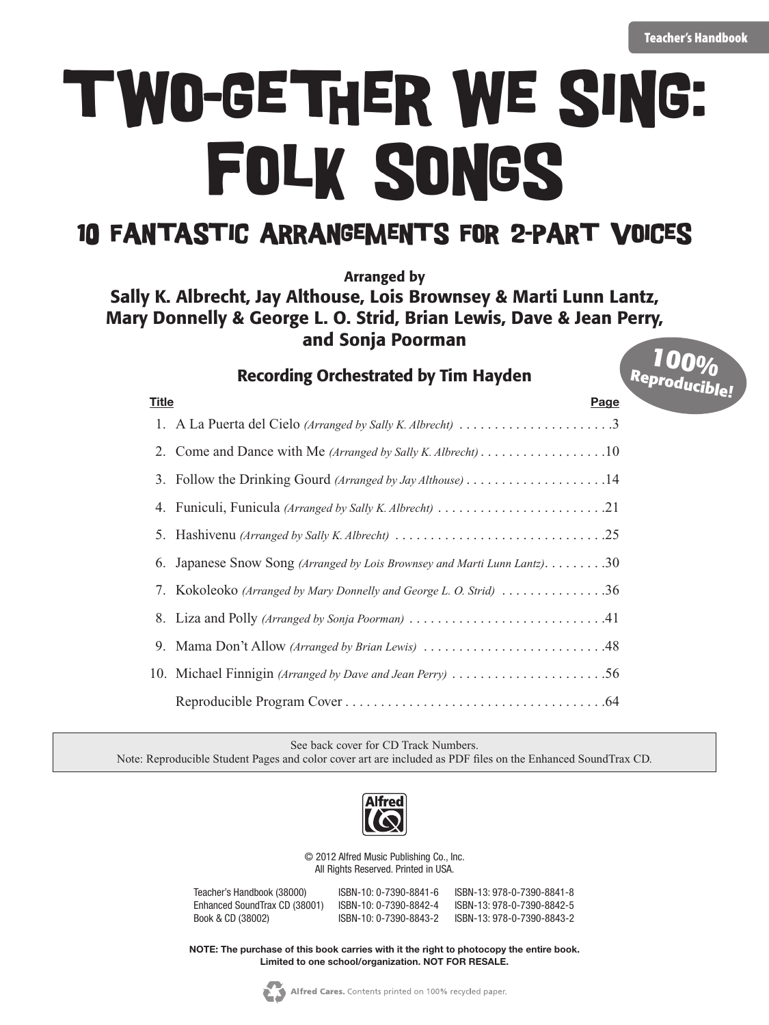**Reproducible!**

# Folk Songs Two-gether We Sing:

#### 10 Fantastic Arrangements for 2-Part Voices

Arranged by

#### Sally K. Albrecht, Jay Althouse, Lois Brownsey & Marti Lunn Lantz, Mary Donnelly & George L. O. Strid, Brian Lewis, Dave & Jean Perry, and Sonja Poorman **100%**

#### Recording Orchestrated by Tim Hayden

**Title Page** 1. A La Puerta del Cielo *(Arranged by Sally K. Albrecht)*  $\dots \dots \dots \dots \dots \dots \dots$ 2. Come and Dance with Me *(Arranged by Sally K. Albrecht)* . . . . . . . . . . . . . . . . . . 10 3. Follow the Drinking Gourd *(Arranged by Jay Althouse)* . . . . . . . . . . . . . . . . . . . .14 4. Funiculi, Funicula *(Arranged by Sally K. Albrecht)* . . . . . . . . . . . . . . . . . . . . . . . .21 5. Hashivenu *(Arranged by Sally K. Albrecht)* . . . . . . . . . . . . . . . . . . . . . . . . . . . . . .25 6. Japanese Snow Song *(Arranged by Lois Brownsey and Marti Lunn Lantz)*. . . . . . . . . . 30 7. Kokoleoko *(Arranged by Mary Donnelly and George L. O. Strid)*  $\dots \dots \dots \dots 36$  8. Liza and Polly *(Arranged by Sonja Poorman)* . . . . . . . . . . . . . . . . . . . . . . . . . . . .41 9. Mama Don't Allow *(Arranged by Brian Lewis)* . . . . . . . . . . . . . . . . . . . . . . . . . .48 10. Michael Finnigin *(Arranged by Dave and Jean Perry)* ..............................56 Reproducible Program Cover . . . . . . . . . . . . . . . . . . . . . . . . . . . . . . . . . . . . .64

See back cover for CD Track Numbers.

Note: Reproducible Student Pages and color cover art are included as PDF files on the Enhanced SoundTrax CD.



© 2012 Alfred Music Publishing Co., Inc. All Rights Reserved. Printed in USA.

| Teacher's Handbook (38000)    | ISBN-10: 0-7390-8841-6 | ISBN-13: 978-0-7390-8841-8 |
|-------------------------------|------------------------|----------------------------|
| Enhanced SoundTrax CD (38001) | ISBN-10: 0-7390-8842-4 | ISBN-13: 978-0-7390-8842-5 |
| Book & CD (38002)             | ISBN-10: 0-7390-8843-2 | ISBN-13: 978-0-7390-8843-2 |

**NOTE: The purchase of this book carries with it the right to photocopy the entire book. Limited to one school/organization. NOT FOR RESALE.**

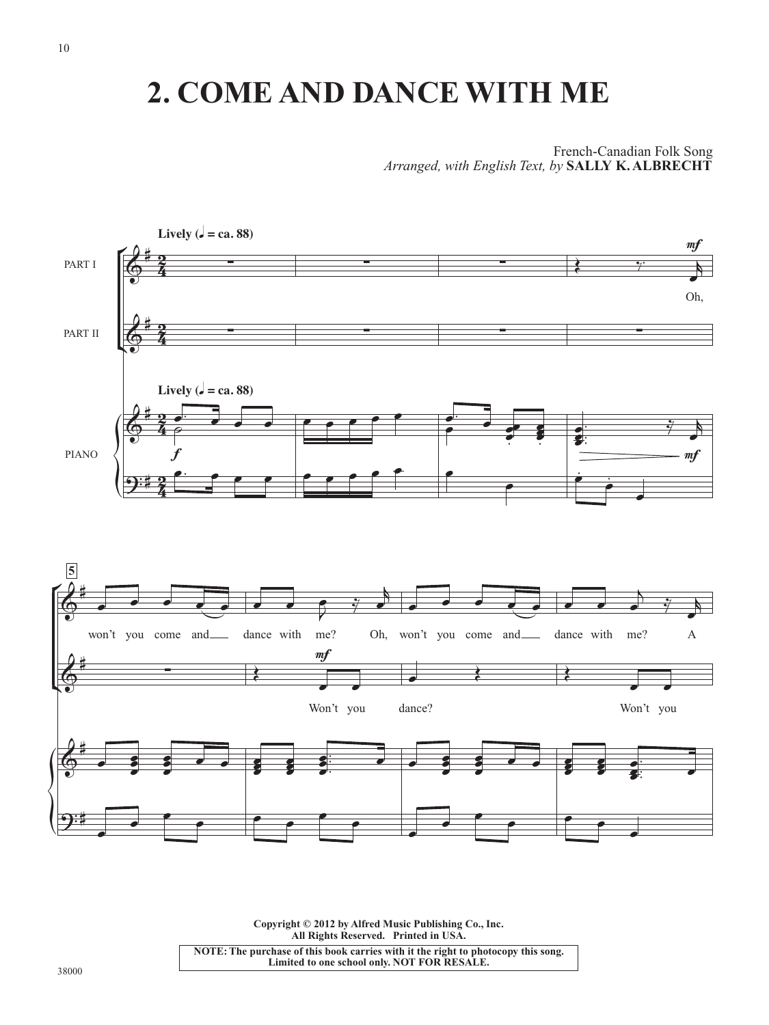## **2. COME AND DANCE WITH ME**

French-Canadian Folk Song *Arranged, with English Text, by* **SALLY K. ALBRECHT**



**Copyright © 2012 by Alfred Music Publishing Co., Inc. All Rights Reserved. Printed in USA.**

**NOTE: The purchase of this book carries with it the right to photocopy this song. Limited to one school only. NOT FOR RESALE.**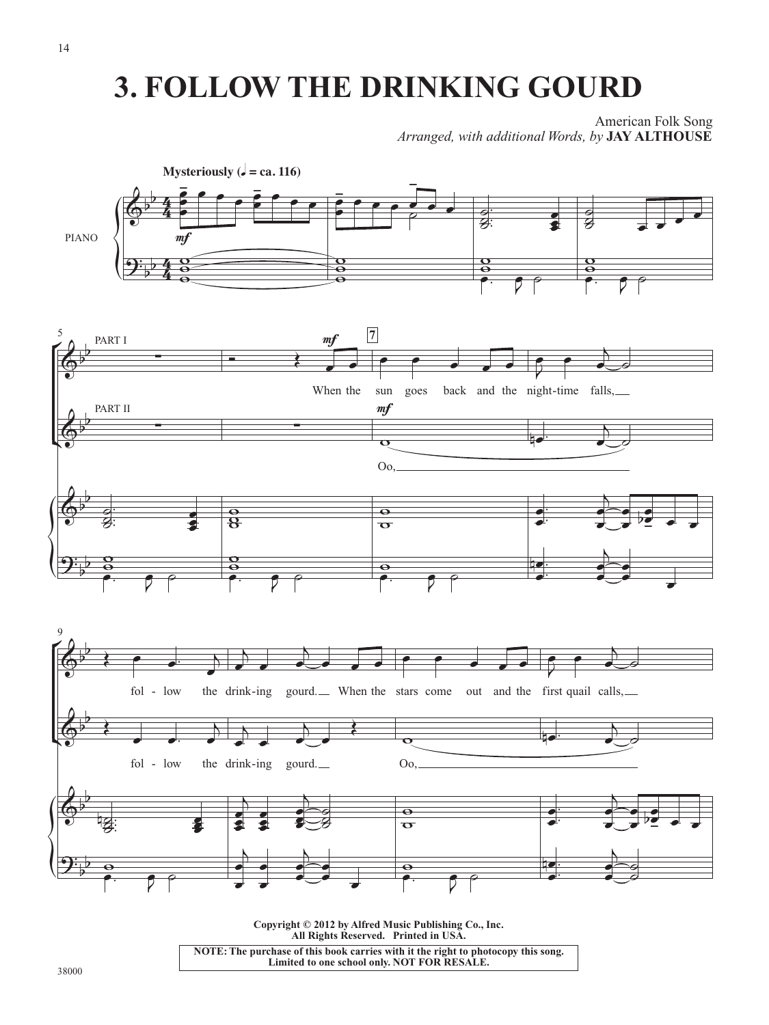## **3. FOLLOW THE DRINKING GOURD**

American Folk Song *Arranged, with additional Words, by* **JAY ALTHOUSE**



**Copyright © 2012 by Alfred Music Publishing Co., Inc. All Rights Reserved. Printed in USA. NOTE: The purchase of this book carries with it the right to photocopy this song. Limited to one school only. NOT FOR RESALE.**